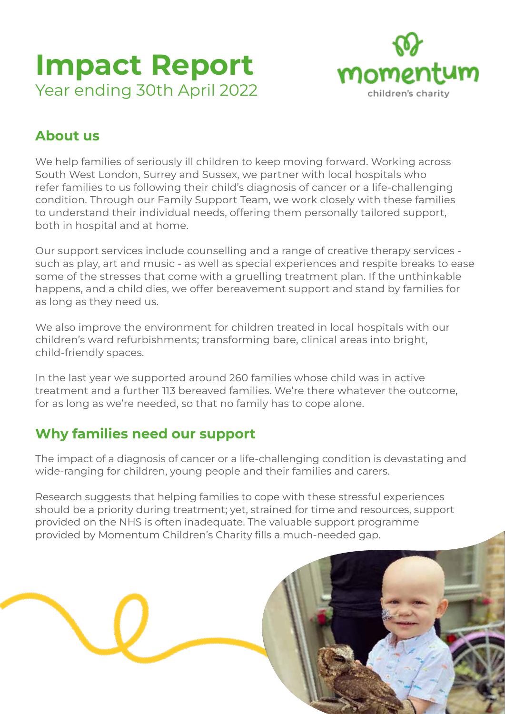# **Impact Report**  Year ending 30th April 2022



### **About us**

We help families of seriously ill children to keep moving forward. Working across South West London, Surrey and Sussex, we partner with local hospitals who refer families to us following their child's diagnosis of cancer or a life-challenging condition. Through our Family Support Team, we work closely with these families to understand their individual needs, offering them personally tailored support, both in hospital and at home.

Our support services include counselling and a range of creative therapy services such as play, art and music - as well as special experiences and respite breaks to ease some of the stresses that come with a gruelling treatment plan. If the unthinkable happens, and a child dies, we offer bereavement support and stand by families for as long as they need us.

We also improve the environment for children treated in local hospitals with our children's ward refurbishments; transforming bare, clinical areas into bright, child-friendly spaces.

In the last year we supported around 260 families whose child was in active treatment and a further 113 bereaved families. We're there whatever the outcome, for as long as we're needed, so that no family has to cope alone.

### **Why families need our support**

The impact of a diagnosis of cancer or a life-challenging condition is devastating and wide-ranging for children, young people and their families and carers.

Research suggests that helping families to cope with these stressful experiences should be a priority during treatment; yet, strained for time and resources, support provided on the NHS is often inadequate. The valuable support programme provided by Momentum Children's Charity fills a much-needed gap.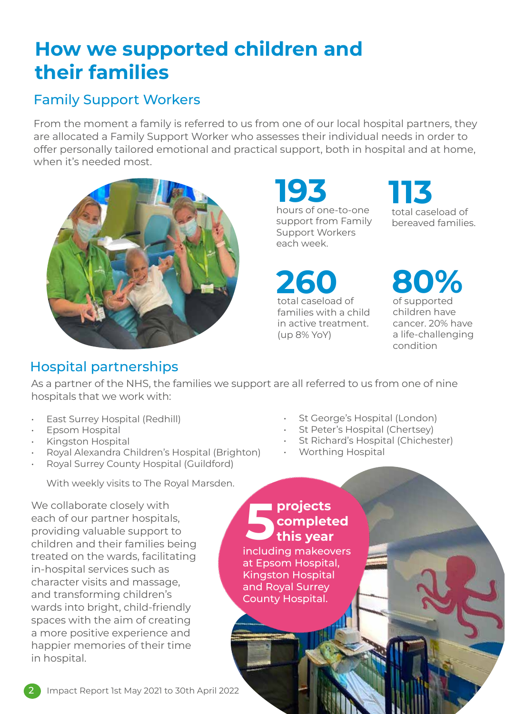# **How we supported children and their families**

### Family Support Workers

From the moment a family is referred to us from one of our local hospital partners, they are allocated a Family Support Worker who assesses their individual needs in order to offer personally tailored emotional and practical support, both in hospital and at home, when it's needed most.



hours of one-to-one **193** support from Family Support Workers each week.

total caseload of bereaved families. **113**

total caseload of families with a child in active treatment. (up 8% YoY) **260 80%**

of supported children have cancer. 20% have a life-challenging condition

### Hospital partnerships

As a partner of the NHS, the families we support are all referred to us from one of nine hospitals that we work with:

- **East Surrey Hospital (Redhill)**
- Epsom Hospital
- Kingston Hospital
- Royal Alexandra Children's Hospital (Brighton)
- Royal Surrey County Hospital (Guildford)

With weekly visits to The Royal Marsden.

We collaborate closely with each of our partner hospitals, providing valuable support to children and their families being treated on the wards, facilitating in-hospital services such as character visits and massage, and transforming children's wards into bright, child-friendly spaces with the aim of creating a more positive experience and happier memories of their time in hospital.

- St George's Hospital (London)
- St Peter's Hospital (Chertsey)
- St Richard's Hospital (Chichester)
- Worthing Hospital

### **5** projects<br>this year **completed this year**

including makeovers at Epsom Hospital, Kingston Hospital and Royal Surrey County Hospital.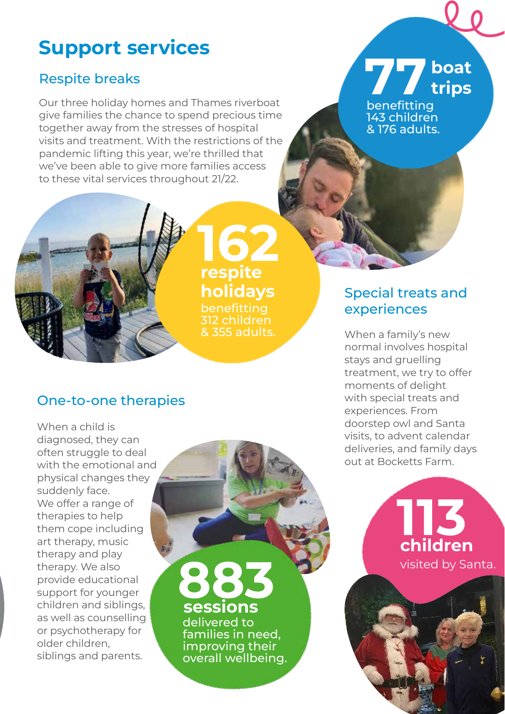# **Support services**

#### Respite breaks

Our three holiday homes and Thames riverboat give families the chance to spend precious time together away from the stresses of hospital visits and treatment. With the restrictions of the pandemic lifting this year, we're thrilled that we've been able to give more families access to these vital services throughout 21/22.



benefitting 143 children & 176 adults.



benefitting 312 children & 355 adults. **162 respite** 

#### One-to-one therapies

When a child is diagnosed, they can often struggle to deal with the emotional and physical changes they suddenly face. We offer a range of therapies to help them cope including art therapy, music therapy and play therapy. We also provide educational support for younger children and siblings, as well as counselling or psychotherapy for older children, siblings and parents.

# delivered to **883 sessions**

families in need, improving their overall wellbeing.

### **holidays** Special treats and experiences

When a family's new normal involves hospital stays and gruelling treatment, we try to offer moments of delight with special treats and experiences. From doorstep owl and Santa visits, to advent calendar deliveries, and family days out at Bocketts Farm.

**113**

**children**

visited by Santa.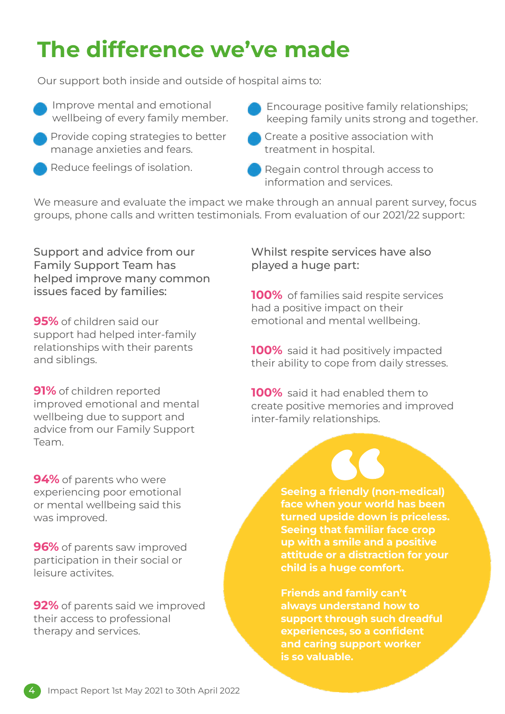# **The difference we've made**

Our support both inside and outside of hospital aims to:

- Improve mental and emotional wellbeing of every family member.
- Provide coping strategies to better manage anxieties and fears.
	- Reduce feelings of isolation.
- Encourage positive family relationships; keeping family units strong and together.
- Create a positive association with treatment in hospital.
- Regain control through access to information and services.

We measure and evaluate the impact we make through an annual parent survey, focus groups, phone calls and written testimonials. From evaluation of our 2021/22 support:

Support and advice from our Family Support Team has helped improve many common issues faced by families:

**95%** of children said our support had helped inter-family relationships with their parents and siblings.

**91%** of children reported improved emotional and mental wellbeing due to support and advice from our Family Support Team.

**94%** of parents who were experiencing poor emotional or mental wellbeing said this was improved.

**96%** of parents saw improved participation in their social or leisure activites.

**92%** of parents said we improved their access to professional therapy and services.

#### Whilst respite services have also played a huge part:

**100%** of families said respite services had a positive impact on their emotional and mental wellbeing.

**100%** said it had positively impacted their ability to cope from daily stresses.

**100%** said it had enabled them to create positive memories and improved inter-family relationships.

> **Seeing a friendly (non-medical) face when your world has been turned upside down is priceless. Seeing that familiar face crop up with a smile and a positive attitude or a distraction for your child is a huge comfort.**

**Friends and family can't always understand how to support through such dreadful experiences, so a confident and caring support worker is so valuable.**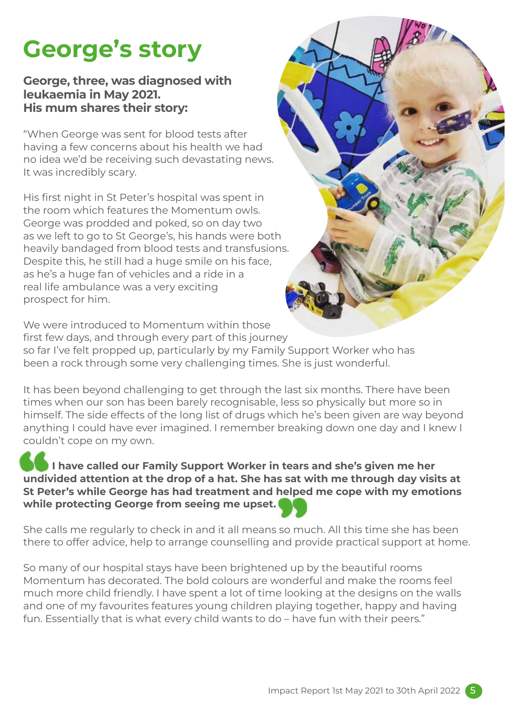# **George's story**

#### **George, three, was diagnosed with leukaemia in May 2021. His mum shares their story:**

"When George was sent for blood tests after having a few concerns about his health we had no idea we'd be receiving such devastating news. It was incredibly scary.

His first night in St Peter's hospital was spent in the room which features the Momentum owls. George was prodded and poked, so on day two as we left to go to St George's, his hands were both heavily bandaged from blood tests and transfusions. Despite this, he still had a huge smile on his face, as he's a huge fan of vehicles and a ride in a real life ambulance was a very exciting prospect for him.



It has been beyond challenging to get through the last six months. There have been times when our son has been barely recognisable, less so physically but more so in himself. The side effects of the long list of drugs which he's been given are way beyond anything I could have ever imagined. I remember breaking down one day and I knew I couldn't cope on my own.

#### **I have called our Family Support Worker in tears and she's given me her undivided attention at the drop of a hat. She has sat with me through day visits at St Peter's while George has had treatment and helped me cope with my emotions while protecting George from seeing me upset.**

She calls me regularly to check in and it all means so much. All this time she has been there to offer advice, help to arrange counselling and provide practical support at home.

So many of our hospital stays have been brightened up by the beautiful rooms Momentum has decorated. The bold colours are wonderful and make the rooms feel much more child friendly. I have spent a lot of time looking at the designs on the walls and one of my favourites features young children playing together, happy and having fun. Essentially that is what every child wants to do – have fun with their peers."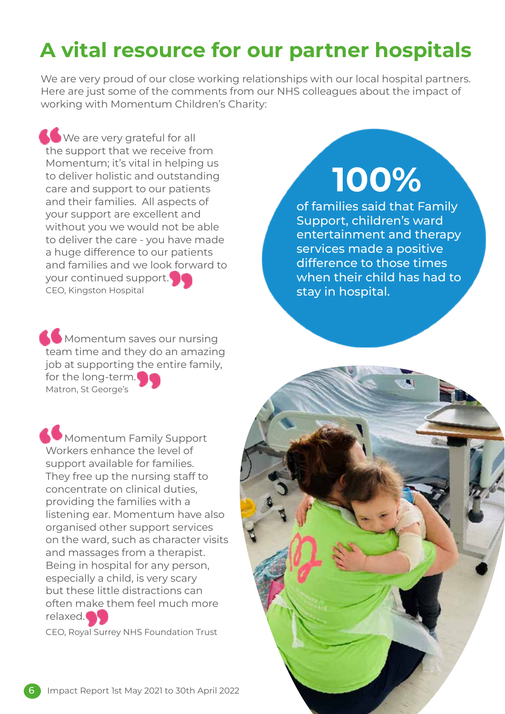# **A vital resource for our partner hospitals**

We are very proud of our close working relationships with our local hospital partners. Here are just some of the comments from our NHS colleagues about the impact of working with Momentum Children's Charity:

We are very grateful for all the support that we receive from Momentum; it's vital in helping us to deliver holistic and outstanding care and support to our patients and their families. All aspects of your support are excellent and without you we would not be able to deliver the care - you have made a huge difference to our patients and families and we look forward to your continued support. CEO, Kingston Hospital

**Momentum saves our nursing** team time and they do an amazing job at supporting the entire family, for the long-term. Matron, St George's

# **100%**

of families said that Family Support, children's ward entertainment and therapy services made a positive difference to those times when their child has had to stay in hospital.

**Momentum Family Support** Workers enhance the level of support available for families. They free up the nursing staff to concentrate on clinical duties, providing the families with a listening ear. Momentum have also organised other support services on the ward, such as character visits and massages from a therapist. Being in hospital for any person, especially a child, is very scary but these little distractions can often make them feel much more relaxed.

CEO, Royal Surrey NHS Foundation Trust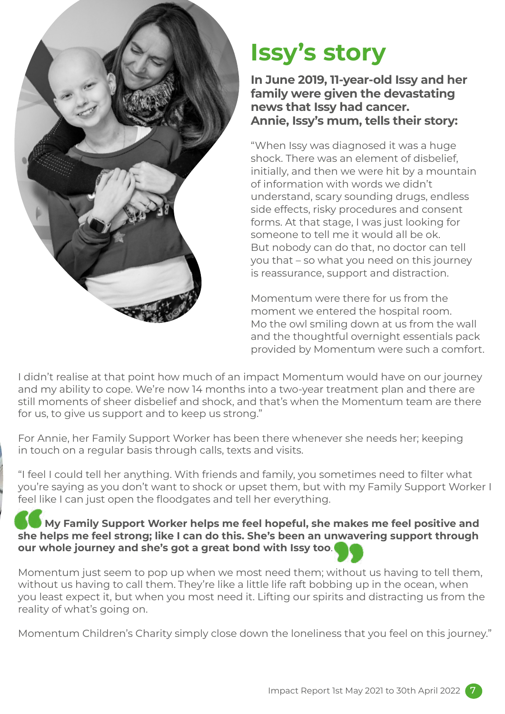

# **Issy's story**

**In June 2019, 11-year-old Issy and her family were given the devastating news that Issy had cancer. Annie, Issy's mum, tells their story:**

"When Issy was diagnosed it was a huge shock. There was an element of disbelief, initially, and then we were hit by a mountain of information with words we didn't understand, scary sounding drugs, endless side effects, risky procedures and consent forms. At that stage, I was just looking for someone to tell me it would all be ok. But nobody can do that, no doctor can tell you that – so what you need on this journey is reassurance, support and distraction.

Momentum were there for us from the moment we entered the hospital room. Mo the owl smiling down at us from the wall and the thoughtful overnight essentials pack provided by Momentum were such a comfort.

I didn't realise at that point how much of an impact Momentum would have on our journey and my ability to cope. We're now 14 months into a two-year treatment plan and there are still moments of sheer disbelief and shock, and that's when the Momentum team are there for us, to give us support and to keep us strong."

For Annie, her Family Support Worker has been there whenever she needs her; keeping in touch on a regular basis through calls, texts and visits.

"I feel I could tell her anything. With friends and family, you sometimes need to filter what you're saying as you don't want to shock or upset them, but with my Family Support Worker I feel like I can just open the floodgates and tell her everything.

#### **My Family Support Worker helps me feel hopeful, she makes me feel positive and she helps me feel strong; like I can do this. She's been an unwavering support through our whole journey and she's got a great bond with Issy too**.

Momentum just seem to pop up when we most need them; without us having to tell them, without us having to call them. They're like a little life raft bobbing up in the ocean, when you least expect it, but when you most need it. Lifting our spirits and distracting us from the reality of what's going on.

Momentum Children's Charity simply close down the loneliness that you feel on this journey."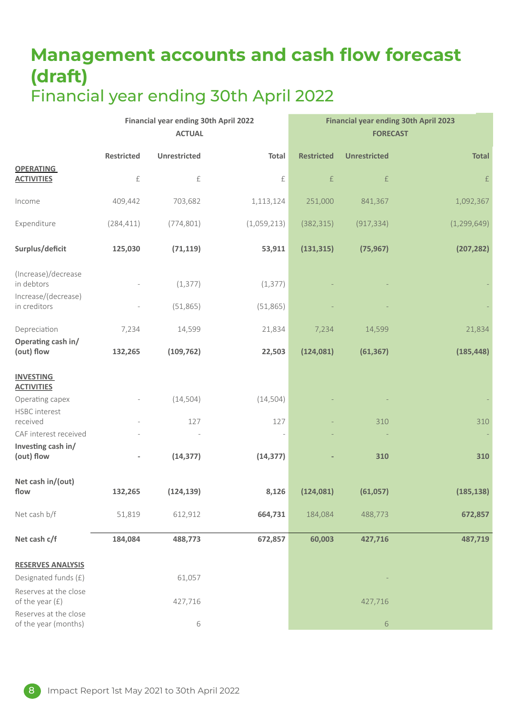## **Management accounts and cash flow forecast (draft)** Financial year ending 30th April 2022

|                                               | Financial year ending 30th April 2022<br><b>ACTUAL</b> |              |             | <b>Financial year ending 30th April 2023</b><br><b>FORECAST</b> |                     |               |
|-----------------------------------------------|--------------------------------------------------------|--------------|-------------|-----------------------------------------------------------------|---------------------|---------------|
|                                               | <b>Restricted</b>                                      | Unrestricted | Total       | <b>Restricted</b>                                               | <b>Unrestricted</b> | <b>Total</b>  |
| <b>OPERATING</b><br><b>ACTIVITIES</b>         | $\pounds$                                              | $\pounds$    | $\pounds$   | $\ensuremath{\mathsf{f}}$                                       | $\pounds$           | $\pounds$     |
| Income                                        | 409,442                                                | 703,682      | 1,113,124   | 251,000                                                         | 841,367             | 1,092,367     |
| Expenditure                                   | (284, 411)                                             | (774, 801)   | (1,059,213) | (382, 315)                                                      | (917, 334)          | (1, 299, 649) |
| Surplus/deficit                               | 125,030                                                | (71, 119)    | 53,911      | (131, 315)                                                      | (75, 967)           | (207, 282)    |
| (Increase)/decrease<br>in debtors             |                                                        | (1, 377)     | (1, 377)    |                                                                 |                     |               |
| Increase/(decrease)<br>in creditors           |                                                        | (51,865)     | (51,865)    |                                                                 |                     |               |
| Depreciation                                  | 7,234                                                  | 14,599       | 21,834      | 7,234                                                           | 14,599              | 21,834        |
| Operating cash in/<br>(out) flow              | 132,265                                                | (109, 762)   | 22,503      | (124, 081)                                                      | (61, 367)           | (185, 448)    |
| <b>INVESTING</b><br><b>ACTIVITIES</b>         |                                                        |              |             |                                                                 |                     |               |
| Operating capex                               |                                                        | (14, 504)    | (14, 504)   |                                                                 |                     |               |
| HSBC interest<br>received                     |                                                        | 127          | 127         |                                                                 | 310                 | 310           |
| CAF interest received                         |                                                        |              |             |                                                                 |                     |               |
| Investing cash in/<br>(out) flow              |                                                        | (14, 377)    | (14, 377)   |                                                                 | 310                 | 310           |
| Net cash in/(out)<br>flow                     | 132,265                                                | (124, 139)   | 8,126       | (124, 081)                                                      | (61,057)            | (185, 138)    |
| Net cash b/f                                  | 51,819                                                 | 612,912      | 664,731     | 184,084                                                         | 488,773             | 672,857       |
| Net cash c/f                                  | 184,084                                                | 488,773      | 672,857     | 60,003                                                          | 427,716             | 487,719       |
| <b>RESERVES ANALYSIS</b>                      |                                                        |              |             |                                                                 |                     |               |
| Designated funds (£)                          |                                                        | 61,057       |             |                                                                 |                     |               |
| Reserves at the close<br>of the year $(f)$    |                                                        | 427,716      |             |                                                                 | 427,716             |               |
| Reserves at the close<br>of the year (months) |                                                        | 6            |             |                                                                 | $\sqrt{6}$          |               |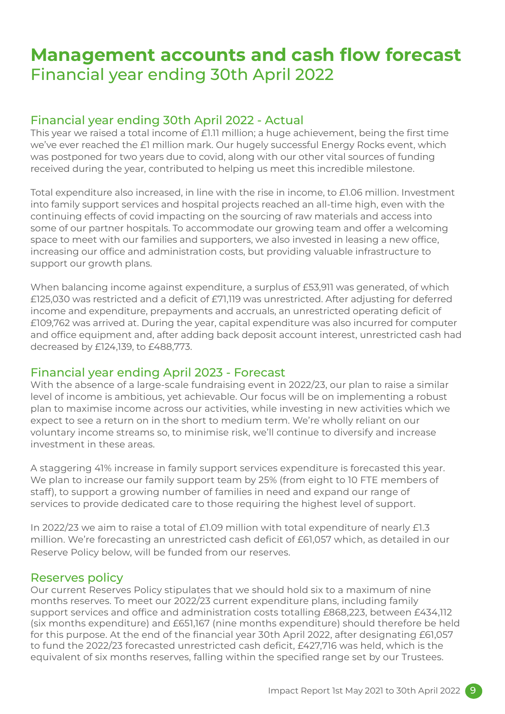## **Management accounts and cash flow forecast** Financial year ending 30th April 2022

#### Financial year ending 30th April 2022 - Actual

This year we raised a total income of £1.11 million; a huge achievement, being the first time we've ever reached the £1 million mark. Our hugely successful Energy Rocks event, which was postponed for two years due to covid, along with our other vital sources of funding received during the year, contributed to helping us meet this incredible milestone.

Total expenditure also increased, in line with the rise in income, to £1.06 million. Investment into family support services and hospital projects reached an all-time high, even with the continuing effects of covid impacting on the sourcing of raw materials and access into some of our partner hospitals. To accommodate our growing team and offer a welcoming space to meet with our families and supporters, we also invested in leasing a new office, increasing our office and administration costs, but providing valuable infrastructure to support our growth plans.

When balancing income against expenditure, a surplus of £53,911 was generated, of which £125,030 was restricted and a deficit of £71,119 was unrestricted. After adjusting for deferred income and expenditure, prepayments and accruals, an unrestricted operating deficit of £109,762 was arrived at. During the year, capital expenditure was also incurred for computer and office equipment and, after adding back deposit account interest, unrestricted cash had decreased by £124,139, to £488,773.

#### Financial year ending April 2023 - Forecast

With the absence of a large-scale fundraising event in 2022/23, our plan to raise a similar level of income is ambitious, yet achievable. Our focus will be on implementing a robust plan to maximise income across our activities, while investing in new activities which we expect to see a return on in the short to medium term. We're wholly reliant on our voluntary income streams so, to minimise risk, we'll continue to diversify and increase investment in these areas.

A staggering 41% increase in family support services expenditure is forecasted this year. We plan to increase our family support team by 25% (from eight to 10 FTE members of staff), to support a growing number of families in need and expand our range of services to provide dedicated care to those requiring the highest level of support.

In 2022/23 we aim to raise a total of £1.09 million with total expenditure of nearly £1.3 million. We're forecasting an unrestricted cash deficit of £61,057 which, as detailed in our Reserve Policy below, will be funded from our reserves.

#### Reserves policy

Our current Reserves Policy stipulates that we should hold six to a maximum of nine months reserves. To meet our 2022/23 current expenditure plans, including family support services and office and administration costs totalling £868,223, between £434,112 (six months expenditure) and £651,167 (nine months expenditure) should therefore be held for this purpose. At the end of the financial year 30th April 2022, after designating £61,057 to fund the 2022/23 forecasted unrestricted cash deficit, £427,716 was held, which is the equivalent of six months reserves, falling within the specified range set by our Trustees.